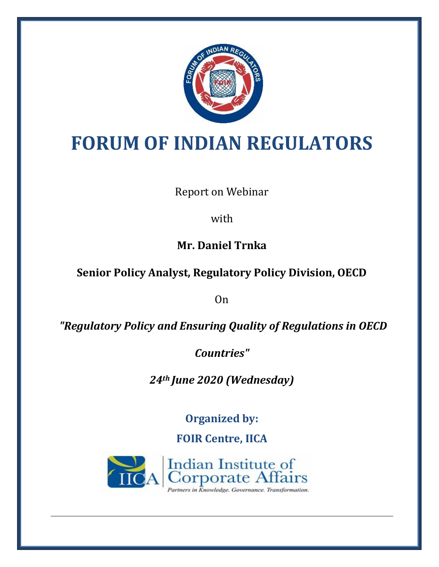

# **FORUM OF INDIAN REGULATORS**

Report on Webinar

with

**Mr. Daniel Trnka**

**Senior Policy Analyst, Regulatory Policy Division, OECD** 

On

*"Regulatory Policy and Ensuring Quality of Regulations in OECD* 

*Countries"*

*24th June 2020 (Wednesday)*

**Organized by:**

**FOIR Centre, IICA**

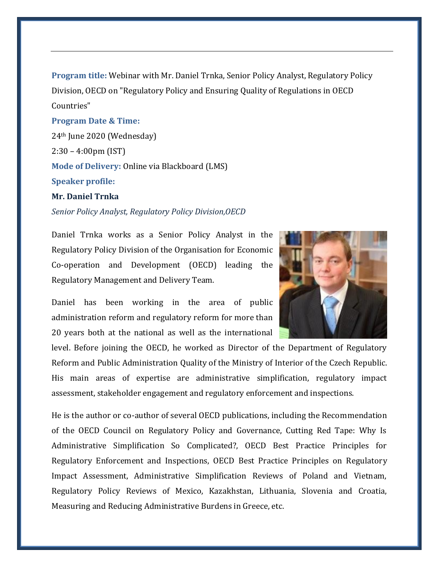**Program title:** Webinar with Mr. Daniel Trnka, Senior Policy Analyst, Regulatory Policy Division, OECD on "Regulatory Policy and Ensuring Quality of Regulations in OECD Countries"

#### **Program Date & Time:**

24th June 2020 (Wednesday) 2:30 – 4:00pm (IST) **Mode of Delivery:** Online via Blackboard (LMS) **Speaker profile:**

## **Mr. Daniel Trnka**

*Senior Policy Analyst, Regulatory Policy Division,OECD*

Daniel Trnka works as a Senior Policy Analyst in the Regulatory Policy Division of the Organisation for Economic Co-operation and Development (OECD) leading the Regulatory Management and Delivery Team.



Daniel has been working in the area of public administration reform and regulatory reform for more than 20 years both at the national as well as the international

level. Before joining the OECD, he worked as Director of the Department of Regulatory Reform and Public Administration Quality of the Ministry of Interior of the Czech Republic. His main areas of expertise are administrative simplification, regulatory impact assessment, stakeholder engagement and regulatory enforcement and inspections.

He is the author or co-author of several OECD publications, including the Recommendation of the OECD Council on Regulatory Policy and Governance, Cutting Red Tape: Why Is Administrative Simplification So Complicated?, OECD Best Practice Principles for Regulatory Enforcement and Inspections, OECD Best Practice Principles on Regulatory Impact Assessment, Administrative Simplification Reviews of Poland and Vietnam, Regulatory Policy Reviews of Mexico, Kazakhstan, Lithuania, Slovenia and Croatia, Measuring and Reducing Administrative Burdens in Greece, etc.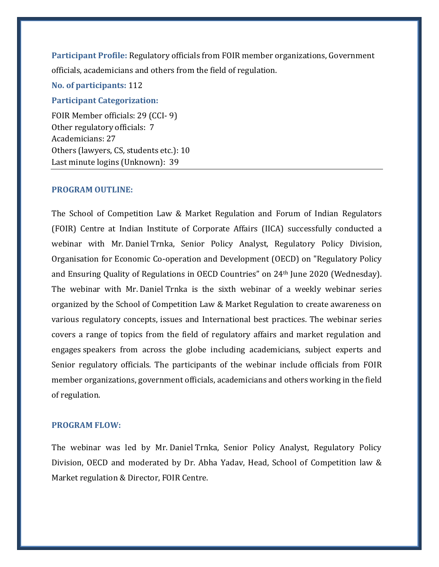**Participant Profile:** Regulatory officials from FOIR member organizations, Government officials, academicians and others from the field of regulation.

**No. of participants:** 112

#### **Participant Categorization:**

FOIR Member officials: 29 (CCI- 9) Other regulatory officials: 7 Academicians: 27 Others (lawyers, CS, students etc.): 10 Last minute logins (Unknown): 39

#### **PROGRAM OUTLINE:**

The School of Competition Law & Market Regulation and Forum of Indian Regulators (FOIR) Centre at Indian Institute of Corporate Affairs (IICA) successfully conducted a webinar with Mr. Daniel Trnka, Senior Policy Analyst, Regulatory Policy Division, Organisation for Economic Co-operation and Development (OECD) on "Regulatory Policy and Ensuring Quality of Regulations in OECD Countries" on 24th June 2020 (Wednesday). The webinar with Mr. Daniel Trnka is the sixth webinar of a weekly webinar series organized by the School of Competition Law & Market Regulation to create awareness on various regulatory concepts, issues and International best practices. The webinar series covers a range of topics from the field of regulatory affairs and market regulation and engages speakers from across the globe including academicians, subject experts and Senior regulatory officials. The participants of the webinar include officials from FOIR member organizations, government officials, academicians and others working in the field of regulation.

### **PROGRAM FLOW:**

The webinar was led by Mr. Daniel Trnka, Senior Policy Analyst, Regulatory Policy Division, OECD and moderated by Dr. Abha Yadav, Head, School of Competition law & Market regulation & Director, FOIR Centre.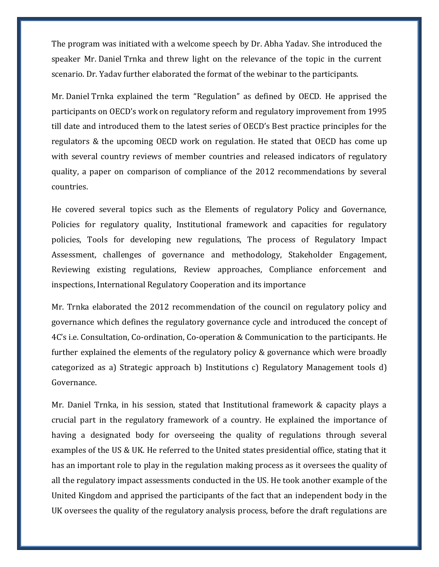The program was initiated with a welcome speech by Dr. Abha Yadav. She introduced the speaker Mr. Daniel Trnka and threw light on the relevance of the topic in the current scenario. Dr. Yadav further elaborated the format of the webinar to the participants.

Mr. Daniel Trnka explained the term "Regulation" as defined by OECD. He apprised the participants on OECD's work on regulatory reform and regulatory improvement from 1995 till date and introduced them to the latest series of OECD's Best practice principles for the regulators & the upcoming OECD work on regulation. He stated that OECD has come up with several country reviews of member countries and released indicators of regulatory quality, a paper on comparison of compliance of the 2012 recommendations by several countries.

He covered several topics such as the Elements of regulatory Policy and Governance, Policies for regulatory quality, Institutional framework and capacities for regulatory policies, Tools for developing new regulations, The process of Regulatory Impact Assessment, challenges of governance and methodology, Stakeholder Engagement, Reviewing existing regulations, Review approaches, Compliance enforcement and inspections, International Regulatory Cooperation and its importance

Mr. Trnka elaborated the 2012 recommendation of the council on regulatory policy and governance which defines the regulatory governance cycle and introduced the concept of 4C's i.e. Consultation, Co-ordination, Co-operation & Communication to the participants. He further explained the elements of the regulatory policy & governance which were broadly categorized as a) Strategic approach b) Institutions c) Regulatory Management tools d) Governance.

Mr. Daniel Trnka, in his session, stated that Institutional framework & capacity plays a crucial part in the regulatory framework of a country. He explained the importance of having a designated body for overseeing the quality of regulations through several examples of the US & UK. He referred to the United states presidential office, stating that it has an important role to play in the regulation making process as it oversees the quality of all the regulatory impact assessments conducted in the US. He took another example of the United Kingdom and apprised the participants of the fact that an independent body in the UK oversees the quality of the regulatory analysis process, before the draft regulations are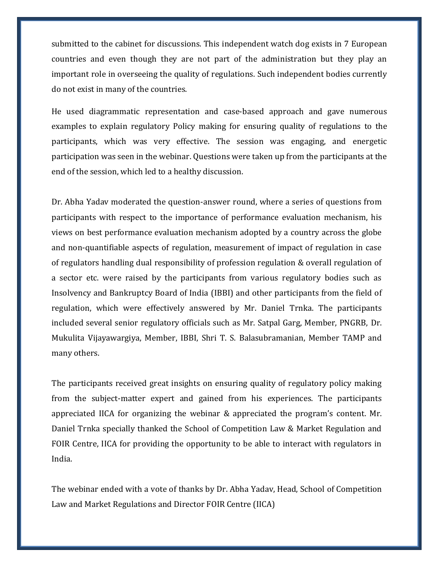submitted to the cabinet for discussions. This independent watch dog exists in 7 European countries and even though they are not part of the administration but they play an important role in overseeing the quality of regulations. Such independent bodies currently do not exist in many of the countries.

He used diagrammatic representation and case-based approach and gave numerous examples to explain regulatory Policy making for ensuring quality of regulations to the participants, which was very effective. The session was engaging, and energetic participation was seen in the webinar. Questions were taken up from the participants at the end of the session, which led to a healthy discussion.

Dr. Abha Yadav moderated the question-answer round, where a series of questions from participants with respect to the importance of performance evaluation mechanism, his views on best performance evaluation mechanism adopted by a country across the globe and non-quantifiable aspects of regulation, measurement of impact of regulation in case of regulators handling dual responsibility of profession regulation & overall regulation of a sector etc. were raised by the participants from various regulatory bodies such as Insolvency and Bankruptcy Board of India (IBBI) and other participants from the field of regulation, which were effectively answered by Mr. Daniel Trnka. The participants included several senior regulatory officials such as Mr. Satpal Garg, Member, PNGRB, Dr. Mukulita Vijayawargiya, Member, IBBI, Shri T. S. Balasubramanian, Member TAMP and many others.

The participants received great insights on ensuring quality of regulatory policy making from the subject-matter expert and gained from his experiences. The participants appreciated IICA for organizing the webinar & appreciated the program's content. Mr. Daniel Trnka specially thanked the School of Competition Law & Market Regulation and FOIR Centre, IICA for providing the opportunity to be able to interact with regulators in India.

The webinar ended with a vote of thanks by Dr. Abha Yadav, Head, School of Competition Law and Market Regulations and Director FOIR Centre (IICA)